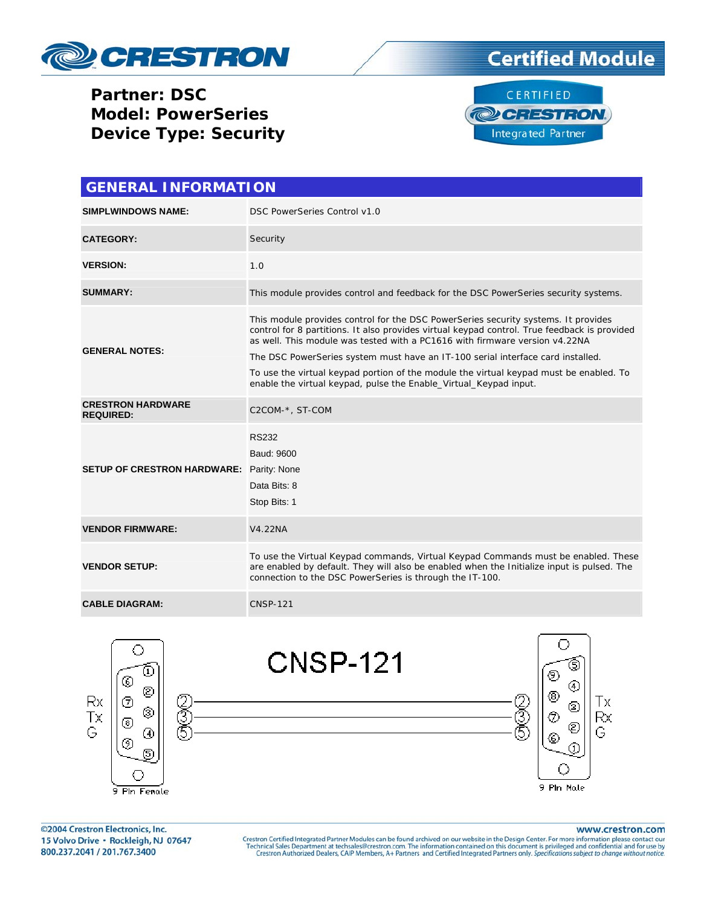

**Partner: DSC Model: PowerSeries Device Type: Security** 





| <b>GENERAL INFORMATION</b>                      |                                                                                                                                                                                                                                                                                                                                                                                                                                                                                                                     |  |  |  |
|-------------------------------------------------|---------------------------------------------------------------------------------------------------------------------------------------------------------------------------------------------------------------------------------------------------------------------------------------------------------------------------------------------------------------------------------------------------------------------------------------------------------------------------------------------------------------------|--|--|--|
| <b>SIMPLWINDOWS NAME:</b>                       | DSC PowerSeries Control v1.0                                                                                                                                                                                                                                                                                                                                                                                                                                                                                        |  |  |  |
| <b>CATEGORY:</b>                                | Security                                                                                                                                                                                                                                                                                                                                                                                                                                                                                                            |  |  |  |
| <b>VERSION:</b>                                 | 1.0                                                                                                                                                                                                                                                                                                                                                                                                                                                                                                                 |  |  |  |
| <b>SUMMARY:</b>                                 | This module provides control and feedback for the DSC PowerSeries security systems.                                                                                                                                                                                                                                                                                                                                                                                                                                 |  |  |  |
| <b>GENERAL NOTES:</b>                           | This module provides control for the DSC PowerSeries security systems. It provides<br>control for 8 partitions. It also provides virtual keypad control. True feedback is provided<br>as well. This module was tested with a PC1616 with firmware version v4.22NA<br>The DSC PowerSeries system must have an IT-100 serial interface card installed.<br>To use the virtual keypad portion of the module the virtual keypad must be enabled. To<br>enable the virtual keypad, pulse the Enable_Virtual_Keypad input. |  |  |  |
| <b>CRESTRON HARDWARE</b><br><b>REQUIRED:</b>    | C2COM-*, ST-COM                                                                                                                                                                                                                                                                                                                                                                                                                                                                                                     |  |  |  |
| <b>SETUP OF CRESTRON HARDWARE:</b> Parity: None | <b>RS232</b><br>Baud: 9600<br>Data Bits: 8<br>Stop Bits: 1                                                                                                                                                                                                                                                                                                                                                                                                                                                          |  |  |  |
| <b>VENDOR FIRMWARE:</b>                         | <b>V4.22NA</b>                                                                                                                                                                                                                                                                                                                                                                                                                                                                                                      |  |  |  |
| <b>VENDOR SETUP:</b>                            | To use the Virtual Keypad commands, Virtual Keypad Commands must be enabled. These<br>are enabled by default. They will also be enabled when the Initialize input is pulsed. The<br>connection to the DSC PowerSeries is through the IT-100.                                                                                                                                                                                                                                                                        |  |  |  |
| <b>CABLE DIAGRAM:</b>                           | <b>CNSP-121</b>                                                                                                                                                                                                                                                                                                                                                                                                                                                                                                     |  |  |  |



©2004 Crestron Electronics, Inc. 15 Volvo Drive · Rockleigh, NJ 07647 800.237.2041 / 201.767.3400

## www.crestron.com

Crestron Certified Integrated Partner Modules can be found archived on our website in the Design Center. For more information please contact our Technical Sales Department at techsales@crestron.com. The information contain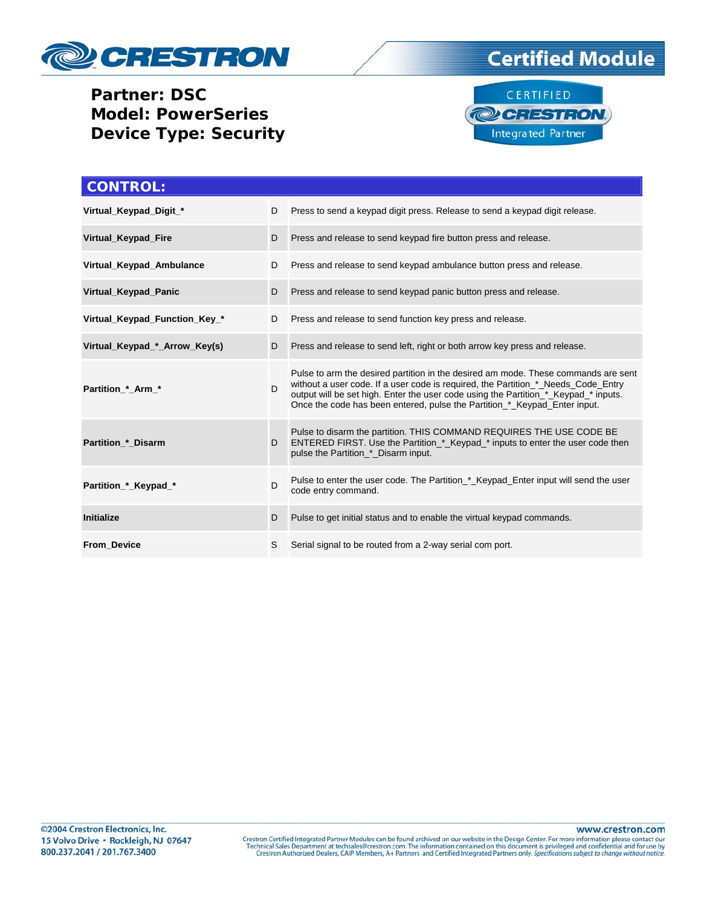

## **Partner: DSC Model: PowerSeries Device Type: Security**





| <b>CONTROL:</b>               |                                                                |                                                                                                                                                                                                                                                                                                                                             |
|-------------------------------|----------------------------------------------------------------|---------------------------------------------------------------------------------------------------------------------------------------------------------------------------------------------------------------------------------------------------------------------------------------------------------------------------------------------|
| Virtual_Keypad_Digit_*        | D                                                              | Press to send a keypad digit press. Release to send a keypad digit release.                                                                                                                                                                                                                                                                 |
| Virtual_Keypad_Fire           | D                                                              | Press and release to send keypad fire button press and release.                                                                                                                                                                                                                                                                             |
| Virtual_Keypad_Ambulance      | D                                                              | Press and release to send keypad ambulance button press and release.                                                                                                                                                                                                                                                                        |
| Virtual Keypad Panic          | D                                                              | Press and release to send keypad panic button press and release.                                                                                                                                                                                                                                                                            |
| Virtual_Keypad_Function_Key_* | Press and release to send function key press and release.<br>D |                                                                                                                                                                                                                                                                                                                                             |
| Virtual_Keypad_*_Arrow_Key(s) | D                                                              | Press and release to send left, right or both arrow key press and release.                                                                                                                                                                                                                                                                  |
| Partition * Arm *             | D.                                                             | Pulse to arm the desired partition in the desired am mode. These commands are sent<br>without a user code. If a user code is required, the Partition_*_Needs_Code_Entry<br>output will be set high. Enter the user code using the Partition_*_Keypad_* inputs.<br>Once the code has been entered, pulse the Partition_*_Keypad_Enter input. |
| <b>Partition * Disarm</b>     | D                                                              | Pulse to disarm the partition. THIS COMMAND REQUIRES THE USE CODE BE<br>ENTERED FIRST. Use the Partition * Keypad * inputs to enter the user code then<br>pulse the Partition_*_Disarm input.                                                                                                                                               |
| Partition_*_Keypad_*          | D                                                              | Pulse to enter the user code. The Partition_*_Keypad_Enter input will send the user<br>code entry command.                                                                                                                                                                                                                                  |
| <b>Initialize</b>             | D                                                              | Pulse to get initial status and to enable the virtual keypad commands.                                                                                                                                                                                                                                                                      |
| <b>From Device</b>            | S                                                              | Serial signal to be routed from a 2-way serial com port.                                                                                                                                                                                                                                                                                    |

www.crestron.com Crestron Certified Integrated Partner Modules can be found archived on our website in the Design Center. For more information please contact our Technical Sales Department at techsales@crestron.com. The information contain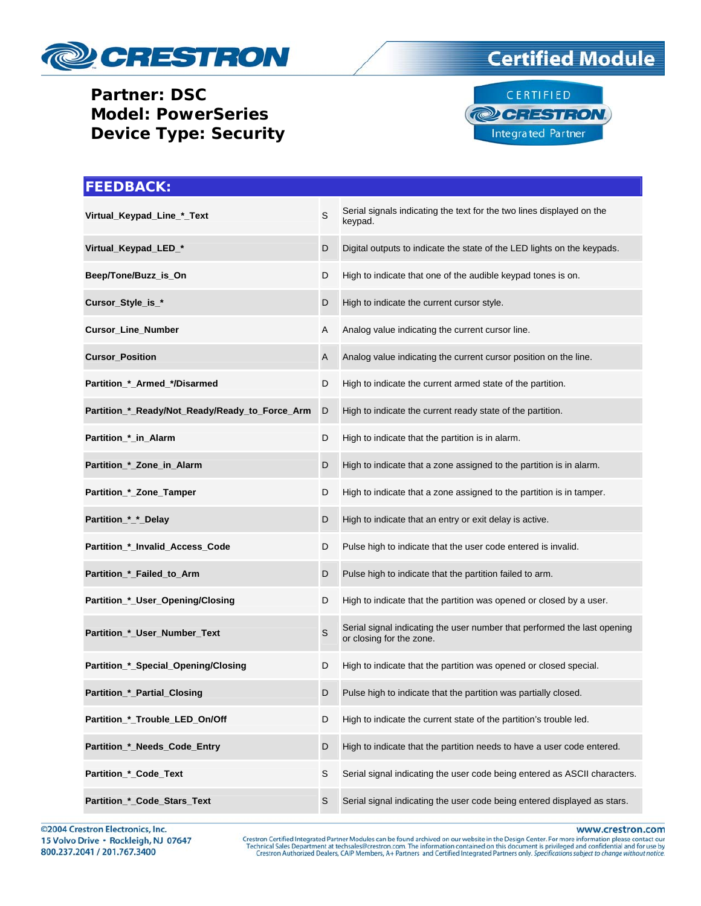

**Partner: DSC Model: PowerSeries Device Type: Security** 





| <b>FEEDBACK:</b>                               |              |                                                                                                      |
|------------------------------------------------|--------------|------------------------------------------------------------------------------------------------------|
| Virtual_Keypad_Line_*_Text                     | S            | Serial signals indicating the text for the two lines displayed on the<br>keypad.                     |
| Virtual_Keypad_LED_*                           | D            | Digital outputs to indicate the state of the LED lights on the keypads.                              |
| Beep/Tone/Buzz_is_On                           | D            | High to indicate that one of the audible keypad tones is on.                                         |
| Cursor_Style_is_*                              | D            | High to indicate the current cursor style.                                                           |
| Cursor_Line_Number                             | Α            | Analog value indicating the current cursor line.                                                     |
| <b>Cursor_Position</b>                         | $\mathsf{A}$ | Analog value indicating the current cursor position on the line.                                     |
| Partition_*_Armed_*/Disarmed                   | D            | High to indicate the current armed state of the partition.                                           |
| Partition_*_Ready/Not_Ready/Ready_to_Force_Arm | D            | High to indicate the current ready state of the partition.                                           |
| Partition_*_in_Alarm                           | D            | High to indicate that the partition is in alarm.                                                     |
| Partition_*_Zone_in_Alarm                      | D            | High to indicate that a zone assigned to the partition is in alarm.                                  |
| Partition_*_Zone_Tamper                        | D            | High to indicate that a zone assigned to the partition is in tamper.                                 |
| Partition_*_*_Delay                            | D            | High to indicate that an entry or exit delay is active.                                              |
| Partition_*_Invalid_Access_Code                | D            | Pulse high to indicate that the user code entered is invalid.                                        |
| Partition_*_Failed_to_Arm                      | D            | Pulse high to indicate that the partition failed to arm.                                             |
| Partition_*_User_Opening/Closing               | D            | High to indicate that the partition was opened or closed by a user.                                  |
| Partition_*_User_Number_Text                   | $\mathsf S$  | Serial signal indicating the user number that performed the last opening<br>or closing for the zone. |
| Partition_*_Special_Opening/Closing            | D            | High to indicate that the partition was opened or closed special.                                    |
| Partition_*_Partial_Closing                    | D            | Pulse high to indicate that the partition was partially closed.                                      |
| Partition_*_Trouble_LED_On/Off                 | D            | High to indicate the current state of the partition's trouble led.                                   |
| Partition_*_Needs_Code_Entry                   | D            | High to indicate that the partition needs to have a user code entered.                               |
| Partition_*_Code_Text                          | S            | Serial signal indicating the user code being entered as ASCII characters.                            |
| Partition_*_Code_Stars_Text                    | S            | Serial signal indicating the user code being entered displayed as stars.                             |

©2004 Crestron Electronics, Inc. 15 Volvo Drive · Rockleigh, NJ 07647 800.237.2041 / 201.767.3400

www.crestron.com

Crestron Certified Integrated Partner Modules can be found archived on our website in the Design Center. For more information please contact our Technical Sales Department at techsales@crestron.com. The information contain